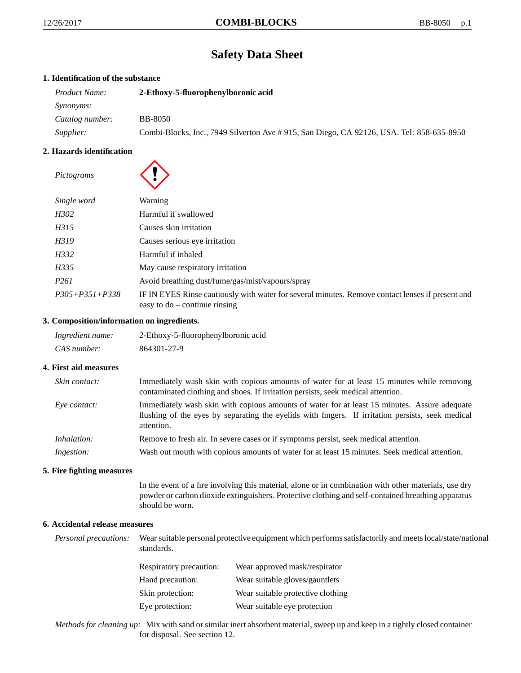# **Safety Data Sheet**

# **1. Identification of the substance**

| <i>Product Name:</i> | 2-Ethoxy-5-fluorophenylboronic acid                                                       |  |
|----------------------|-------------------------------------------------------------------------------------------|--|
| <i>Synonyms:</i>     |                                                                                           |  |
| Catalog number:      | <b>BB-8050</b>                                                                            |  |
| Supplier:            | Combi-Blocks, Inc., 7949 Silverton Ave # 915, San Diego, CA 92126, USA. Tel: 858-635-8950 |  |

# **2. Hazards identification**

| Pictograms           |                                                                                                                                     |
|----------------------|-------------------------------------------------------------------------------------------------------------------------------------|
| Single word          | Warning                                                                                                                             |
| H302                 | Harmful if swallowed                                                                                                                |
| H315                 | Causes skin irritation                                                                                                              |
| H319                 | Causes serious eye irritation                                                                                                       |
| H332                 | Harmful if inhaled                                                                                                                  |
| H335                 | May cause respiratory irritation                                                                                                    |
| P <sub>261</sub>     | Avoid breathing dust/fume/gas/mist/vapours/spray                                                                                    |
| $P305 + P351 + P338$ | IF IN EYES Rinse cautiously with water for several minutes. Remove contact lenses if present and<br>easy to $do$ – continue rinsing |

## **3. Composition/information on ingredients.**

| Ingredient name: | 2-Ethoxy-5-fluorophenylboronic acid |
|------------------|-------------------------------------|
| CAS number:      | 864301-27-9                         |

## **4. First aid measures**

| Skin contact:      | Immediately wash skin with copious amounts of water for at least 15 minutes while removing<br>contaminated clothing and shoes. If irritation persists, seek medical attention.                                  |  |
|--------------------|-----------------------------------------------------------------------------------------------------------------------------------------------------------------------------------------------------------------|--|
| Eye contact:       | Immediately wash skin with copious amounts of water for at least 15 minutes. Assure adequate<br>flushing of the eyes by separating the eyelids with fingers. If irritation persists, seek medical<br>attention. |  |
| <i>Inhalation:</i> | Remove to fresh air. In severe cases or if symptoms persist, seek medical attention.                                                                                                                            |  |
| Ingestion:         | Wash out mouth with copious amounts of water for at least 15 minutes. Seek medical attention.                                                                                                                   |  |

# **5. Fire fighting measures**

In the event of a fire involving this material, alone or in combination with other materials, use dry powder or carbon dioxide extinguishers. Protective clothing and self-contained breathing apparatus should be worn.

# **6. Accidental release measures**

*Personal precautions:* Wear suitable personal protective equipment which performs satisfactorily and meets local/state/national standards.

| <b>Respiratory precaution:</b> | Wear approved mask/respirator     |
|--------------------------------|-----------------------------------|
| Hand precaution:               | Wear suitable gloves/gauntlets    |
| Skin protection:               | Wear suitable protective clothing |
| Eye protection:                | Wear suitable eye protection      |

*Methods for cleaning up:* Mix with sand or similar inert absorbent material, sweep up and keep in a tightly closed container for disposal. See section 12.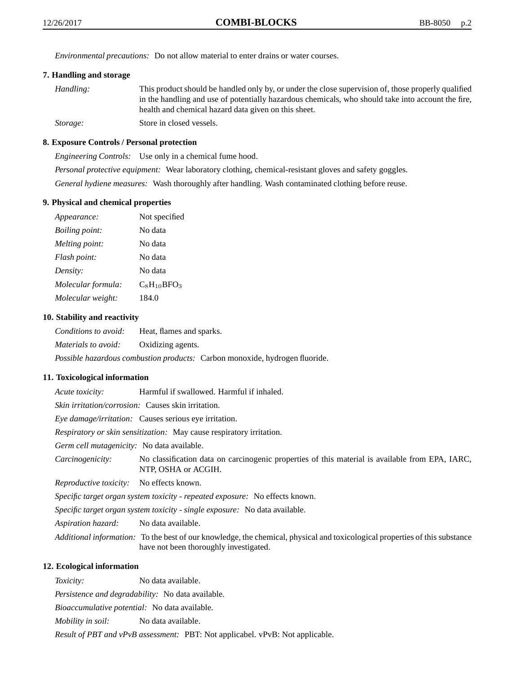*Environmental precautions:* Do not allow material to enter drains or water courses.

# **7. Handling and storage**

| Handling: | This product should be handled only by, or under the close supervision of, those properly qualified |
|-----------|-----------------------------------------------------------------------------------------------------|
|           | in the handling and use of potentially hazardous chemicals, who should take into account the fire,  |
|           | health and chemical hazard data given on this sheet.                                                |
| Storage:  | Store in closed vessels.                                                                            |

### **8. Exposure Controls / Personal protection**

*Engineering Controls:* Use only in a chemical fume hood. *Personal protective equipment:* Wear laboratory clothing, chemical-resistant gloves and safety goggles. *General hydiene measures:* Wash thoroughly after handling. Wash contaminated clothing before reuse.

#### **9. Physical and chemical properties**

| Appearance:           | Not specified    |
|-----------------------|------------------|
| <i>Boiling point:</i> | No data          |
| Melting point:        | No data          |
| Flash point:          | No data          |
| Density:              | No data          |
| Molecular formula:    | $C_8H_{10}BFO_3$ |
| Molecular weight:     | 184.0            |

#### **10. Stability and reactivity**

*Conditions to avoid:* Heat, flames and sparks. *Materials to avoid:* Oxidizing agents. *Possible hazardous combustion products:* Carbon monoxide, hydrogen fluoride.

#### **11. Toxicological information**

*Acute toxicity:* Harmful if swallowed. Harmful if inhaled.

*Skin irritation/corrosion:* Causes skin irritation.

*Eye damage/irritation:* Causes serious eye irritation.

*Respiratory or skin sensitization:* May cause respiratory irritation.

*Germ cell mutagenicity:* No data available.

*Carcinogenicity:* No classification data on carcinogenic properties of this material is available from EPA, IARC, NTP, OSHA or ACGIH.

*Reproductive toxicity:* No effects known.

*Specific target organ system toxicity - repeated exposure:* No effects known.

*Specific target organ system toxicity - single exposure:* No data available.

*Aspiration hazard:* No data available.

*Additional information:* To the best of our knowledge, the chemical, physical and toxicological properties of this substance have not been thoroughly investigated.

# **12. Ecological information**

*Toxicity:* No data available.

*Persistence and degradability:* No data available.

*Bioaccumulative potential:* No data available.

*Mobility in soil:* No data available.

*Result of PBT and vPvB assessment:* PBT: Not applicabel. vPvB: Not applicable.